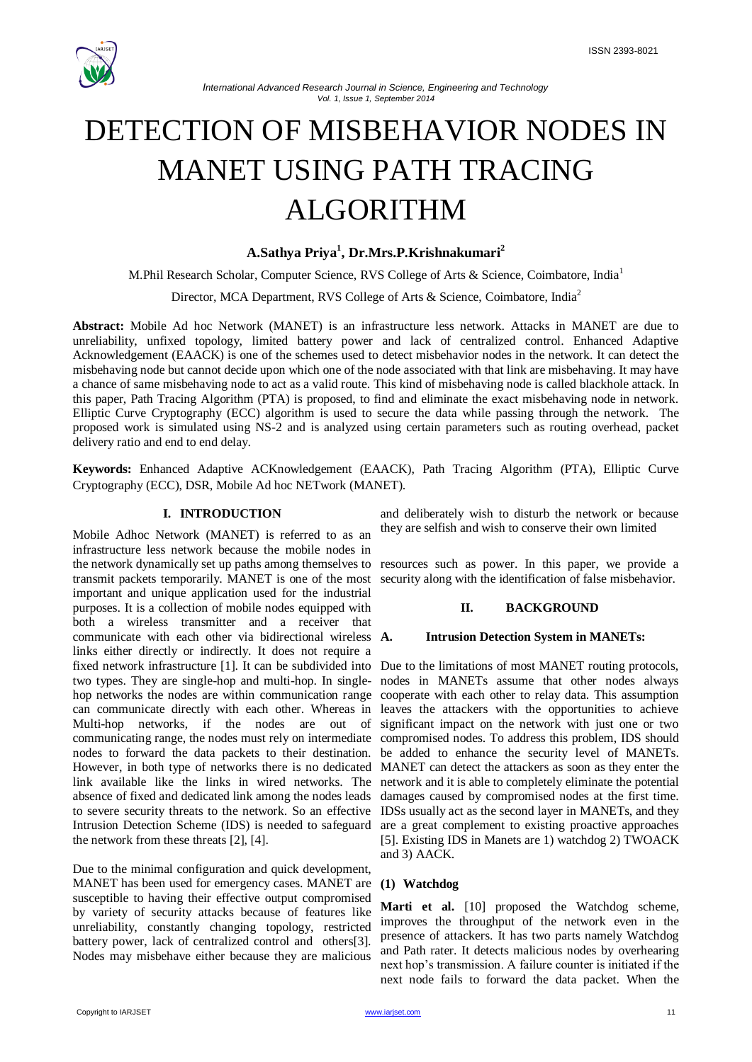



*International Advanced Research Journal in Science, Engineering and Technology Vol. 1, Issue 1, September 2014*

# DETECTION OF MISBEHAVIOR NODES IN MANET USING PATH TRACING ALGORITHM

# **A.Sathya Priya<sup>1</sup> , Dr.Mrs.P.Krishnakumari<sup>2</sup>**

M.Phil Research Scholar, Computer Science, RVS College of Arts & Science, Coimbatore, India<sup>1</sup>

Director, MCA Department, RVS College of Arts & Science, Coimbatore, India<sup>2</sup>

**Abstract:** Mobile Ad hoc Network (MANET) is an infrastructure less network. Attacks in MANET are due to unreliability, unfixed topology, limited battery power and lack of centralized control. Enhanced Adaptive Acknowledgement (EAACK) is one of the schemes used to detect misbehavior nodes in the network. It can detect the misbehaving node but cannot decide upon which one of the node associated with that link are misbehaving. It may have a chance of same misbehaving node to act as a valid route. This kind of misbehaving node is called blackhole attack. In this paper, Path Tracing Algorithm (PTA) is proposed, to find and eliminate the exact misbehaving node in network. Elliptic Curve Cryptography (ECC) algorithm is used to secure the data while passing through the network. The proposed work is simulated using NS-2 and is analyzed using certain parameters such as routing overhead, packet delivery ratio and end to end delay.

**Keywords:** Enhanced Adaptive ACKnowledgement (EAACK), Path Tracing Algorithm (PTA), Elliptic Curve Cryptography (ECC), DSR, Mobile Ad hoc NETwork (MANET).

#### **I. INTRODUCTION**

Mobile Adhoc Network (MANET) is referred to as an infrastructure less network because the mobile nodes in the network dynamically set up paths among themselves to transmit packets temporarily. MANET is one of the most important and unique application used for the industrial purposes. It is a collection of mobile nodes equipped with both a wireless transmitter and a receiver that communicate with each other via bidirectional wireless A. links either directly or indirectly. It does not require a fixed network infrastructure [1]. It can be subdivided into Due to the limitations of most MANET routing protocols, two types. They are single-hop and multi-hop. In single-nodes in MANETs assume that other nodes always hop networks the nodes are within communication range cooperate with each other to relay data. This assumption can communicate directly with each other. Whereas in leaves the attackers with the opportunities to achieve Multi-hop networks, if the nodes are out of significant impact on the network with just one or two communicating range, the nodes must rely on intermediate compromised nodes. To address this problem, IDS should nodes to forward the data packets to their destination. be added to enhance the security level of MANETs. However, in both type of networks there is no dedicated MANET can detect the attackers as soon as they enter the link available like the links in wired networks. The network and it is able to completely eliminate the potential absence of fixed and dedicated link among the nodes leads to severe security threats to the network. So an effective Intrusion Detection Scheme (IDS) is needed to safeguard the network from these threats [2], [4].

Due to the minimal configuration and quick development, MANET has been used for emergency cases. MANET are susceptible to having their effective output compromised by variety of security attacks because of features like unreliability, constantly changing topology, restricted battery power, lack of centralized control and others[3]. Nodes may misbehave either because they are malicious

and deliberately wish to disturb the network or because they are selfish and wish to conserve their own limited

resources such as power. In this paper, we provide a security along with the identification of false misbehavior.

## **II. BACKGROUND**

#### **A. Intrusion Detection System in MANETs:**

damages caused by compromised nodes at the first time. IDSs usually act as the second layer in MANETs, and they are a great complement to existing proactive approaches [5]. Existing IDS in Manets are 1) watchdog 2) TWOACK and 3) AACK.

#### **(1) Watchdog**

**Marti et al.** [10] proposed the Watchdog scheme, improves the throughput of the network even in the presence of attackers. It has two parts namely Watchdog and Path rater. It detects malicious nodes by overhearing next hop's transmission. A failure counter is initiated if the next node fails to forward the data packet. When the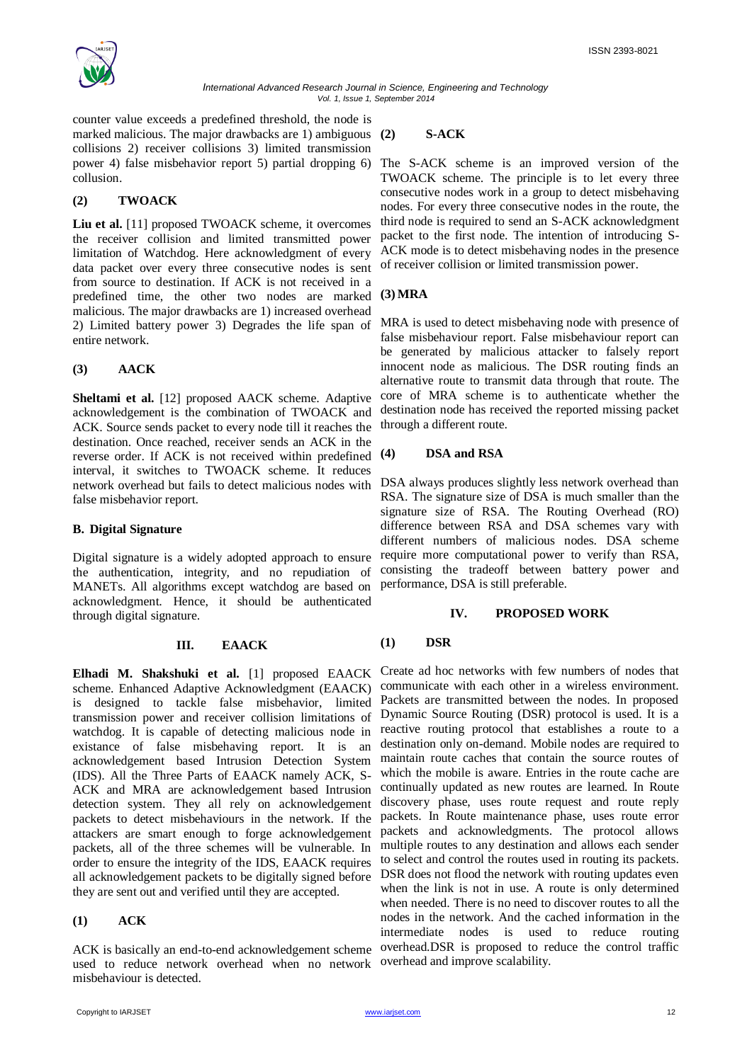

counter value exceeds a predefined threshold, the node is marked malicious. The major drawbacks are 1) ambiguous (2) collisions 2) receiver collisions 3) limited transmission power 4) false misbehavior report 5) partial dropping 6) collusion.

# **(2) TWOACK**

**Liu et al.** [11] proposed TWOACK scheme, it overcomes the receiver collision and limited transmitted power limitation of Watchdog. Here acknowledgment of every data packet over every three consecutive nodes is sent from source to destination. If ACK is not received in a predefined time, the other two nodes are marked malicious. The major drawbacks are 1) increased overhead 2) Limited battery power 3) Degrades the life span of entire network.

# **(3) AACK**

**Sheltami et al.** [12] proposed AACK scheme. Adaptive acknowledgement is the combination of TWOACK and ACK. Source sends packet to every node till it reaches the destination. Once reached, receiver sends an ACK in the reverse order. If ACK is not received within predefined interval, it switches to TWOACK scheme. It reduces network overhead but fails to detect malicious nodes with false misbehavior report.

# **B. Digital Signature**

Digital signature is a widely adopted approach to ensure the authentication, integrity, and no repudiation of MANETs. All algorithms except watchdog are based on acknowledgment. Hence, it should be authenticated through digital signature.

## **III. EAACK**

scheme. Enhanced Adaptive Acknowledgment (EAACK) is designed to tackle false misbehavior, limited transmission power and receiver collision limitations of watchdog. It is capable of detecting malicious node in existance of false misbehaving report. It is an acknowledgement based Intrusion Detection System (IDS). All the Three Parts of EAACK namely ACK, S-ACK and MRA are acknowledgement based Intrusion detection system. They all rely on acknowledgement packets to detect misbehaviours in the network. If the attackers are smart enough to forge acknowledgement packets, all of the three schemes will be vulnerable. In order to ensure the integrity of the IDS, EAACK requires all acknowledgement packets to be digitally signed before they are sent out and verified until they are accepted.

## **(1) ACK**

ACK is basically an end-to-end acknowledgement scheme used to reduce network overhead when no network misbehaviour is detected.

# **(2) S-ACK**

The S-ACK scheme is an improved version of the TWOACK scheme. The principle is to let every three consecutive nodes work in a group to detect misbehaving nodes. For every three consecutive nodes in the route, the third node is required to send an S-ACK acknowledgment packet to the first node. The intention of introducing S-ACK mode is to detect misbehaving nodes in the presence of receiver collision or limited transmission power.

# **(3) MRA**

MRA is used to detect misbehaving node with presence of false misbehaviour report. False misbehaviour report can be generated by malicious attacker to falsely report innocent node as malicious. The DSR routing finds an alternative route to transmit data through that route. The core of MRA scheme is to authenticate whether the destination node has received the reported missing packet through a different route.

# **(4) DSA and RSA**

DSA always produces slightly less network overhead than RSA. The signature size of DSA is much smaller than the signature size of RSA. The Routing Overhead (RO) difference between RSA and DSA schemes vary with different numbers of malicious nodes. DSA scheme require more computational power to verify than RSA, consisting the tradeoff between battery power and performance, DSA is still preferable.

## **IV. PROPOSED WORK**

# **(1) DSR**

**Elhadi M. Shakshuki et al.** [1] proposed EAACK Create ad hoc networks with few numbers of nodes that communicate with each other in a wireless environment. Packets are transmitted between the nodes. In proposed Dynamic Source Routing (DSR) protocol is used. It is a reactive routing protocol that establishes a route to a destination only on-demand. Mobile nodes are required to maintain route caches that contain the source routes of which the mobile is aware. Entries in the route cache are continually updated as new routes are learned. In Route discovery phase, uses route request and route reply packets. In Route maintenance phase, uses route error packets and acknowledgments. The protocol allows multiple routes to any destination and allows each sender to select and control the routes used in routing its packets. DSR does not flood the network with routing updates even when the link is not in use. A route is only determined when needed. There is no need to discover routes to all the nodes in the network. And the cached information in the intermediate nodes is used to reduce routing overhead.DSR is proposed to reduce the control traffic overhead and improve scalability.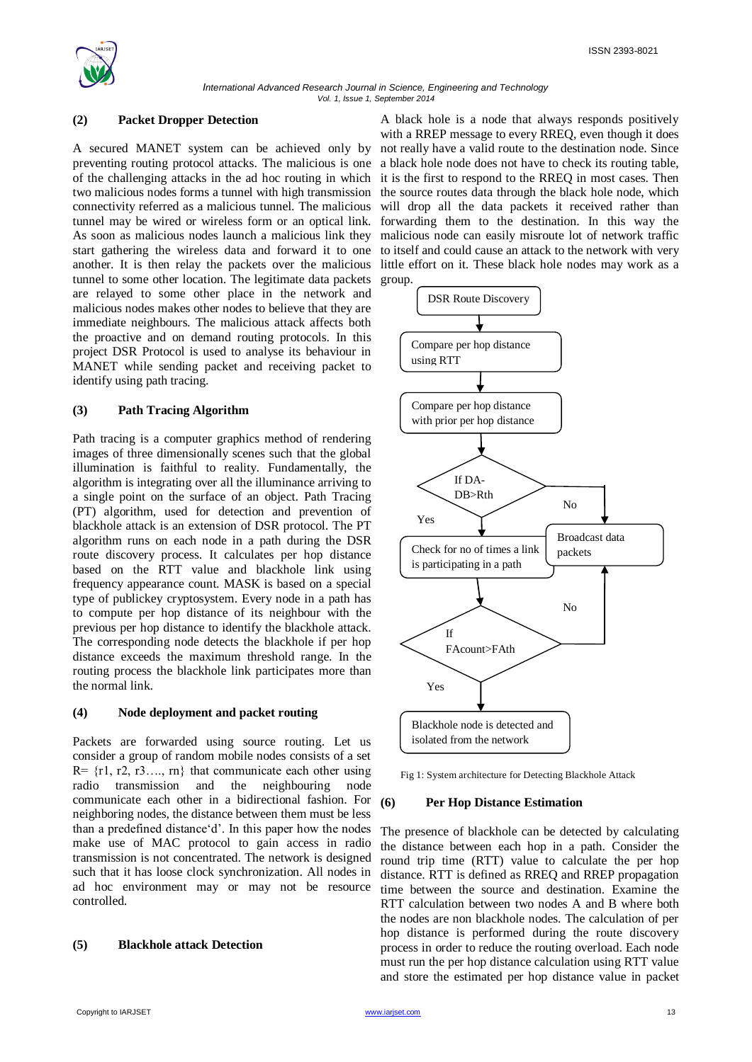

*International Advanced Research Journal in Science, Engineering and Technology Vol. 1, Issue 1, September 2014*

#### **(2) Packet Dropper Detection**

A secured MANET system can be achieved only by preventing routing protocol attacks. The malicious is one of the challenging attacks in the ad hoc routing in which two malicious nodes forms a tunnel with high transmission connectivity referred as a malicious tunnel. The malicious tunnel may be wired or wireless form or an optical link. As soon as malicious nodes launch a malicious link they start gathering the wireless data and forward it to one another. It is then relay the packets over the malicious tunnel to some other location. The legitimate data packets are relayed to some other place in the network and malicious nodes makes other nodes to believe that they are immediate neighbours. The malicious attack affects both the proactive and on demand routing protocols. In this project DSR Protocol is used to analyse its behaviour in MANET while sending packet and receiving packet to identify using path tracing.

#### **(3) Path Tracing Algorithm**

Path tracing is a computer graphics method of rendering images of three dimensionally scenes such that the global illumination is faithful to reality. Fundamentally, the algorithm is integrating over all the illuminance arriving to a single point on the surface of an object. Path Tracing (PT) algorithm, used for detection and prevention of blackhole attack is an extension of DSR protocol. The PT algorithm runs on each node in a path during the DSR route discovery process. It calculates per hop distance based on the RTT value and blackhole link using frequency appearance count. MASK is based on a special type of publickey cryptosystem. Every node in a path has to compute per hop distance of its neighbour with the previous per hop distance to identify the blackhole attack. The corresponding node detects the blackhole if per hop distance exceeds the maximum threshold range. In the routing process the blackhole link participates more than the normal link.

### **(4) Node deployment and packet routing**

Packets are forwarded using source routing. Let us consider a group of random mobile nodes consists of a set  $R = \{r1, r2, r3, \ldots, rn\}$  that communicate each other using radio transmission and the neighbouring node communicate each other in a bidirectional fashion. For neighboring nodes, the distance between them must be less than a predefined distance 'd'. In this paper how the nodes make use of MAC protocol to gain access in radio transmission is not concentrated. The network is designed such that it has loose clock synchronization. All nodes in ad hoc environment may or may not be resource controlled.

## **(5) Blackhole attack Detection**

A black hole is a node that always responds positively with a RREP message to every RREQ, even though it does not really have a valid route to the destination node. Since a black hole node does not have to check its routing table, it is the first to respond to the RREQ in most cases. Then the source routes data through the black hole node, which will drop all the data packets it received rather than forwarding them to the destination. In this way the malicious node can easily misroute lot of network traffic to itself and could cause an attack to the network with very little effort on it. These black hole nodes may work as a group.



Fig 1: System architecture for Detecting Blackhole Attack

#### **(6) Per Hop Distance Estimation**

The presence of blackhole can be detected by calculating the distance between each hop in a path. Consider the round trip time (RTT) value to calculate the per hop distance. RTT is defined as RREQ and RREP propagation time between the source and destination. Examine the RTT calculation between two nodes A and B where both the nodes are non blackhole nodes. The calculation of per hop distance is performed during the route discovery process in order to reduce the routing overload. Each node must run the per hop distance calculation using RTT value and store the estimated per hop distance value in packet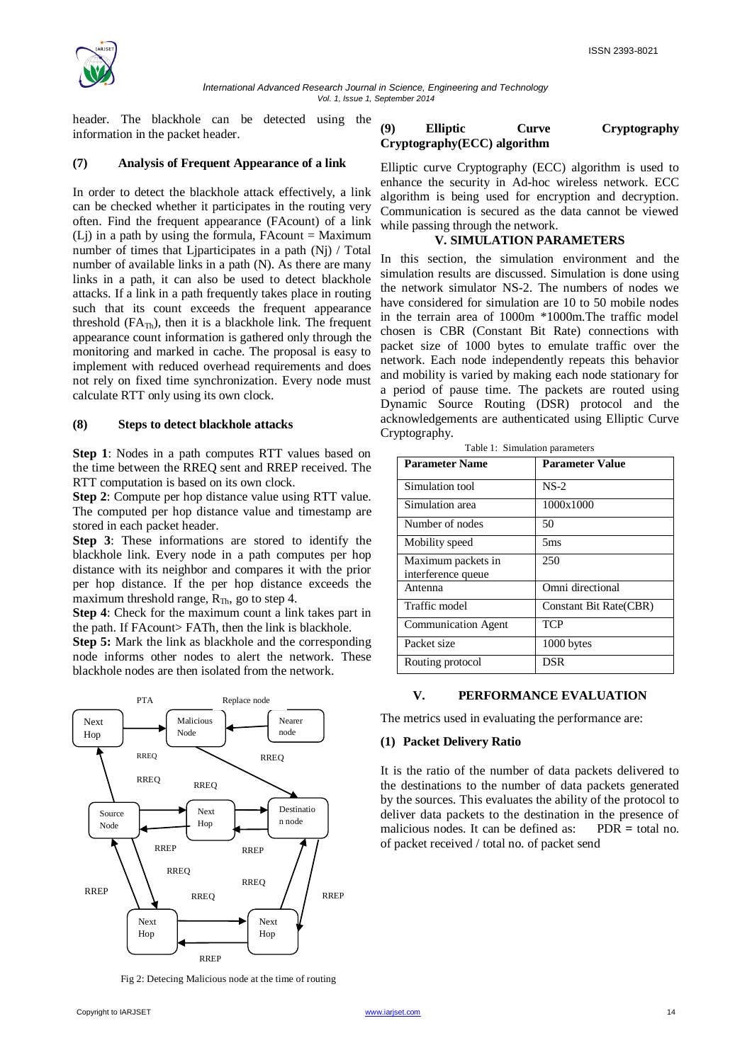

header. The blackhole can be detected using the information in the packet header.

#### **(7) Analysis of Frequent Appearance of a link**

In order to detect the blackhole attack effectively, a link can be checked whether it participates in the routing very often. Find the frequent appearance (FAcount) of a link  $(L<sub>i</sub>)$  in a path by using the formula, FAcount = Maximum number of times that Liparticipates in a path  $(N<sub>i</sub>)$  / Total number of available links in a path (N). As there are many links in a path, it can also be used to detect blackhole attacks. If a link in a path frequently takes place in routing such that its count exceeds the frequent appearance threshold ( $FA<sub>Th</sub>$ ), then it is a blackhole link. The frequent appearance count information is gathered only through the monitoring and marked in cache. The proposal is easy to implement with reduced overhead requirements and does not rely on fixed time synchronization. Every node must calculate RTT only using its own clock.

#### **(8) Steps to detect blackhole attacks**

**Step 1**: Nodes in a path computes RTT values based on the time between the RREQ sent and RREP received. The RTT computation is based on its own clock.

**Step 2**: Compute per hop distance value using RTT value. The computed per hop distance value and timestamp are stored in each packet header.

**Step 3**: These informations are stored to identify the blackhole link. Every node in a path computes per hop distance with its neighbor and compares it with the prior per hop distance. If the per hop distance exceeds the maximum threshold range,  $R_{Th}$ , go to step 4.

**Step 4**: Check for the maximum count a link takes part in the path. If FAcount> FATh, then the link is blackhole.

**Step 5:** Mark the link as blackhole and the corresponding node informs other nodes to alert the network. These blackhole nodes are then isolated from the network.



Fig 2: Detecing Malicious node at the time of routing

### **(9) Elliptic Curve Cryptography Cryptography(ECC) algorithm**

Elliptic curve Cryptography (ECC) algorithm is used to enhance the security in Ad-hoc wireless network. ECC algorithm is being used for encryption and decryption. Communication is secured as the data cannot be viewed while passing through the network.

#### **V. SIMULATION PARAMETERS**

In this section, the simulation environment and the simulation results are discussed. Simulation is done using the network simulator NS-2. The numbers of nodes we have considered for simulation are 10 to 50 mobile nodes in the terrain area of 1000m \*1000m.The traffic model chosen is CBR (Constant Bit Rate) connections with packet size of 1000 bytes to emulate traffic over the network. Each node independently repeats this behavior and mobility is varied by making each node stationary for a period of pause time. The packets are routed using Dynamic Source Routing (DSR) protocol and the acknowledgements are authenticated using Elliptic Curve Cryptography.

| <b>Parameter Name</b>                    | <b>Parameter Value</b> |
|------------------------------------------|------------------------|
| Simulation tool                          | $NS-2$                 |
| Simulation area                          | 1000x1000              |
| Number of nodes                          | 50                     |
| Mobility speed                           | 5ms                    |
| Maximum packets in<br>interference queue | 250                    |
| Antenna                                  | Omni directional       |
| Traffic model                            | Constant Bit Rate(CBR) |
| <b>Communication Agent</b>               | <b>TCP</b>             |
| Packet size                              | 1000 bytes             |
| Routing protocol                         | DSR                    |

Table 1: Simulation parameters

#### **V. PERFORMANCE EVALUATION**

The metrics used in evaluating the performance are:

#### **(1) Packet Delivery Ratio**

It is the ratio of the number of data packets delivered to the destinations to the number of data packets generated by the sources. This evaluates the ability of the protocol to deliver data packets to the destination in the presence of malicious nodes. It can be defined as:PDR **=** total no. of packet received / total no. of packet send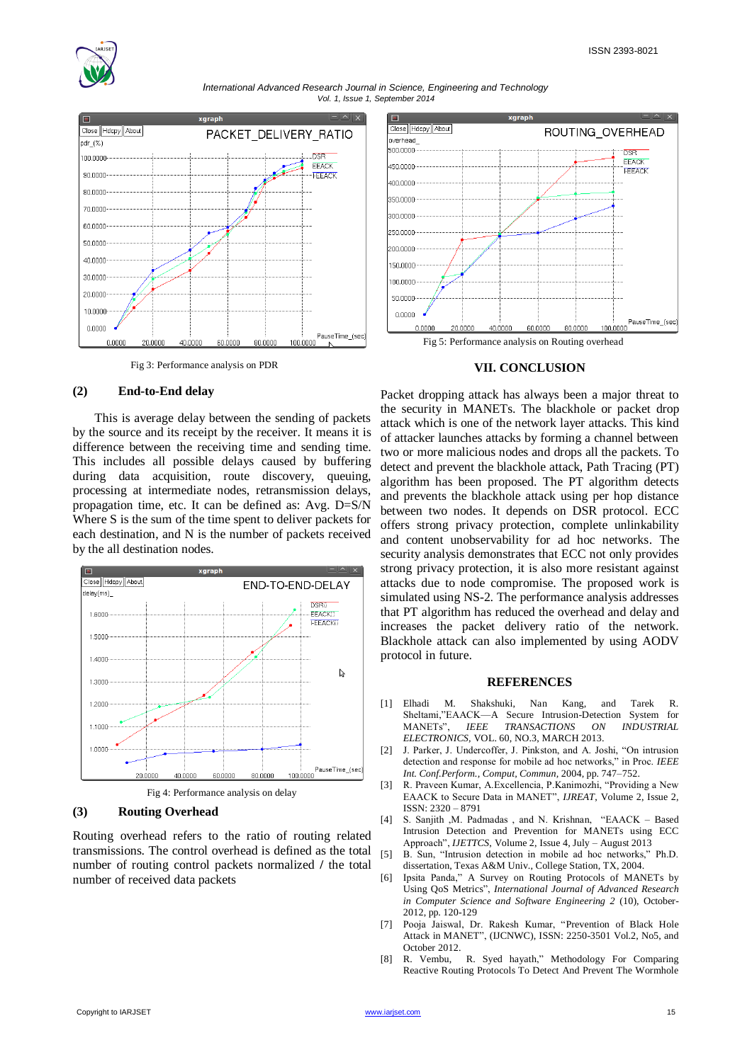





Fig 3: Performance analysis on PDR

#### **(2) End-to-End delay**

 This is average delay between the sending of packets by the source and its receipt by the receiver. It means it is difference between the receiving time and sending time. This includes all possible delays caused by buffering during data acquisition, route discovery, queuing, processing at intermediate nodes, retransmission delays, propagation time, etc. It can be defined as: Avg. D=S/N Where S is the sum of the time spent to deliver packets for each destination, and N is the number of packets received by the all destination nodes.



Fig 4: Performance analysis on delay

## **(3) Routing Overhead**

Routing overhead refers to the ratio of routing related transmissions. The control overhead is defined as the total number of routing control packets normalized **/** the total number of received data packets



Fig 5: Performance analysis on Routing overhead

#### **VII. CONCLUSION**

Packet dropping attack has always been a major threat to the security in MANETs. The blackhole or packet drop attack which is one of the network layer attacks. This kind of attacker launches attacks by forming a channel between two or more malicious nodes and drops all the packets. To detect and prevent the blackhole attack, Path Tracing (PT) algorithm has been proposed. The PT algorithm detects and prevents the blackhole attack using per hop distance between two nodes. It depends on DSR protocol. ECC offers strong privacy protection, complete unlinkability and content unobservability for ad hoc networks. The security analysis demonstrates that ECC not only provides strong privacy protection, it is also more resistant against attacks due to node compromise. The proposed work is simulated using NS-2. The performance analysis addresses that PT algorithm has reduced the overhead and delay and increases the packet delivery ratio of the network. Blackhole attack can also implemented by using AODV protocol in future.

#### **REFERENCES**

- [1] Elhadi M. Shakshuki, Nan Kang, and Tarek R. Sheltami,"EAACK—A Secure Intrusion-Detection System for MANETs‖, *IEEE TRANSACTIONS ON INDUSTRIAL ELECTRONICS,* VOL. 60, NO.3, MARCH 2013.
- [2] J. Parker, J. Undercoffer, J. Pinkston, and A. Joshi, "On intrusion detection and response for mobile ad hoc networks," in Proc. *IEEE Int. Conf.Perform., Comput, Commun,* 2004, pp. 747–752.
- [3] R. Praveen Kumar, A. Excellencia, P. Kanimozhi, "Providing a New EAACK to Secure Data in MANET", *IJREAT*, Volume 2, Issue 2, ISSN: 2320 – 8791
- [4] S. Sanjith ,M. Padmadas , and N. Krishnan, "EAACK Based Intrusion Detection and Prevention for MANETs using ECC Approach‖, *IJETTCS*, Volume 2, Issue 4, July – August 2013
- [5] B. Sun, "Intrusion detection in mobile ad hoc networks," Ph.D. dissertation, Texas A&M Univ., College Station, TX, 2004.
- [6] Ipsita Panda," A Survey on Routing Protocols of MANETs by Using QoS Metrics", *International Journal of Advanced Research in Computer Science and Software Engineering 2* (10), October-2012, pp. 120-129
- [7] Pooja Jaiswal, Dr. Rakesh Kumar, "Prevention of Black Hole Attack in MANET", (IJCNWC), ISSN: 2250-3501 Vol.2, No5, and October 2012.
- [8] R. Vembu, R. Syed hayath," Methodology For Comparing Reactive Routing Protocols To Detect And Prevent The Wormhole